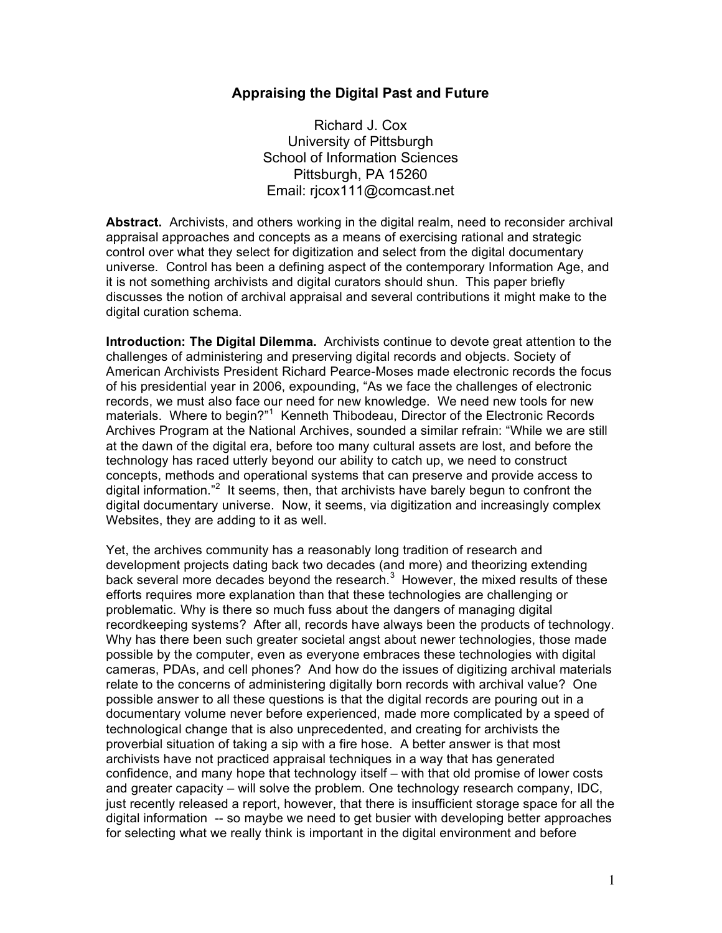## **Appraising the Digital Past and Future**

Richard J. Cox University of Pittsburgh School of Information Sciences Pittsburgh, PA 15260 Email: rjcox111@comcast.net

**Abstract.** Archivists, and others working in the digital realm, need to reconsider archival appraisal approaches and concepts as a means of exercising rational and strategic control over what they select for digitization and select from the digital documentary universe. Control has been a defining aspect of the contemporary Information Age, and it is not something archivists and digital curators should shun. This paper briefly discusses the notion of archival appraisal and several contributions it might make to the digital curation schema.

**Introduction: The Digital Dilemma.** Archivists continue to devote great attention to the challenges of administering and preserving digital records and objects. Society of American Archivists President Richard Pearce-Moses made electronic records the focus of his presidential year in 2006, expounding, "As we face the challenges of electronic records, we must also face our need for new knowledge. We need new tools for new materials. Where to begin?"<sup>1</sup> Kenneth Thibodeau, Director of the Electronic Records Archives Program at the National Archives, sounded a similar refrain: "While we are still at the dawn of the digital era, before too many cultural assets are lost, and before the technology has raced utterly beyond our ability to catch up, we need to construct concepts, methods and operational systems that can preserve and provide access to digital information."<sup>2</sup> It seems, then, that archivists have barely begun to confront the digital documentary universe. Now, it seems, via digitization and increasingly complex Websites, they are adding to it as well.

Yet, the archives community has a reasonably long tradition of research and development projects dating back two decades (and more) and theorizing extending back several more decades beyond the research. $3$  However, the mixed results of these efforts requires more explanation than that these technologies are challenging or problematic. Why is there so much fuss about the dangers of managing digital recordkeeping systems? After all, records have always been the products of technology. Why has there been such greater societal angst about newer technologies, those made possible by the computer, even as everyone embraces these technologies with digital cameras, PDAs, and cell phones? And how do the issues of digitizing archival materials relate to the concerns of administering digitally born records with archival value? One possible answer to all these questions is that the digital records are pouring out in a documentary volume never before experienced, made more complicated by a speed of technological change that is also unprecedented, and creating for archivists the proverbial situation of taking a sip with a fire hose. A better answer is that most archivists have not practiced appraisal techniques in a way that has generated confidence, and many hope that technology itself – with that old promise of lower costs and greater capacity – will solve the problem. One technology research company, IDC, just recently released a report, however, that there is insufficient storage space for all the digital information -- so maybe we need to get busier with developing better approaches for selecting what we really think is important in the digital environment and before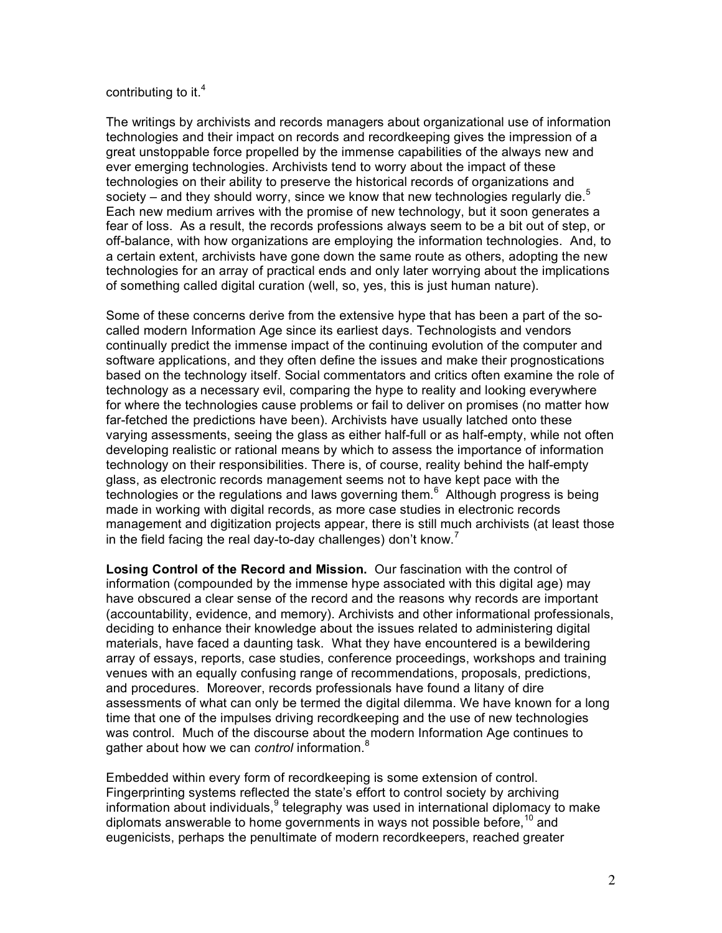## contributing to it.<sup>4</sup>

The writings by archivists and records managers about organizational use of information technologies and their impact on records and recordkeeping gives the impression of a great unstoppable force propelled by the immense capabilities of the always new and ever emerging technologies. Archivists tend to worry about the impact of these technologies on their ability to preserve the historical records of organizations and society – and they should worry, since we know that new technologies regularly die. $5$ Each new medium arrives with the promise of new technology, but it soon generates a fear of loss. As a result, the records professions always seem to be a bit out of step, or off-balance, with how organizations are employing the information technologies. And, to a certain extent, archivists have gone down the same route as others, adopting the new technologies for an array of practical ends and only later worrying about the implications of something called digital curation (well, so, yes, this is just human nature).

Some of these concerns derive from the extensive hype that has been a part of the socalled modern Information Age since its earliest days. Technologists and vendors continually predict the immense impact of the continuing evolution of the computer and software applications, and they often define the issues and make their prognostications based on the technology itself. Social commentators and critics often examine the role of technology as a necessary evil, comparing the hype to reality and looking everywhere for where the technologies cause problems or fail to deliver on promises (no matter how far-fetched the predictions have been). Archivists have usually latched onto these varying assessments, seeing the glass as either half-full or as half-empty, while not often developing realistic or rational means by which to assess the importance of information technology on their responsibilities. There is, of course, reality behind the half-empty glass, as electronic records management seems not to have kept pace with the technologies or the regulations and laws governing them.<sup>6</sup> Although progress is being made in working with digital records, as more case studies in electronic records management and digitization projects appear, there is still much archivists (at least those in the field facing the real day-to-day challenges) don't know.<sup>7</sup>

**Losing Control of the Record and Mission.** Our fascination with the control of information (compounded by the immense hype associated with this digital age) may have obscured a clear sense of the record and the reasons why records are important (accountability, evidence, and memory). Archivists and other informational professionals, deciding to enhance their knowledge about the issues related to administering digital materials, have faced a daunting task. What they have encountered is a bewildering array of essays, reports, case studies, conference proceedings, workshops and training venues with an equally confusing range of recommendations, proposals, predictions, and procedures. Moreover, records professionals have found a litany of dire assessments of what can only be termed the digital dilemma. We have known for a long time that one of the impulses driving recordkeeping and the use of new technologies was control. Much of the discourse about the modern Information Age continues to gather about how we can *control* information.<sup>8</sup>

Embedded within every form of recordkeeping is some extension of control. Fingerprinting systems reflected the state's effort to control society by archiving information about individuals,<sup>9</sup> telegraphy was used in international diplomacy to make diplomats answerable to home governments in ways not possible before,<sup>10</sup> and eugenicists, perhaps the penultimate of modern recordkeepers, reached greater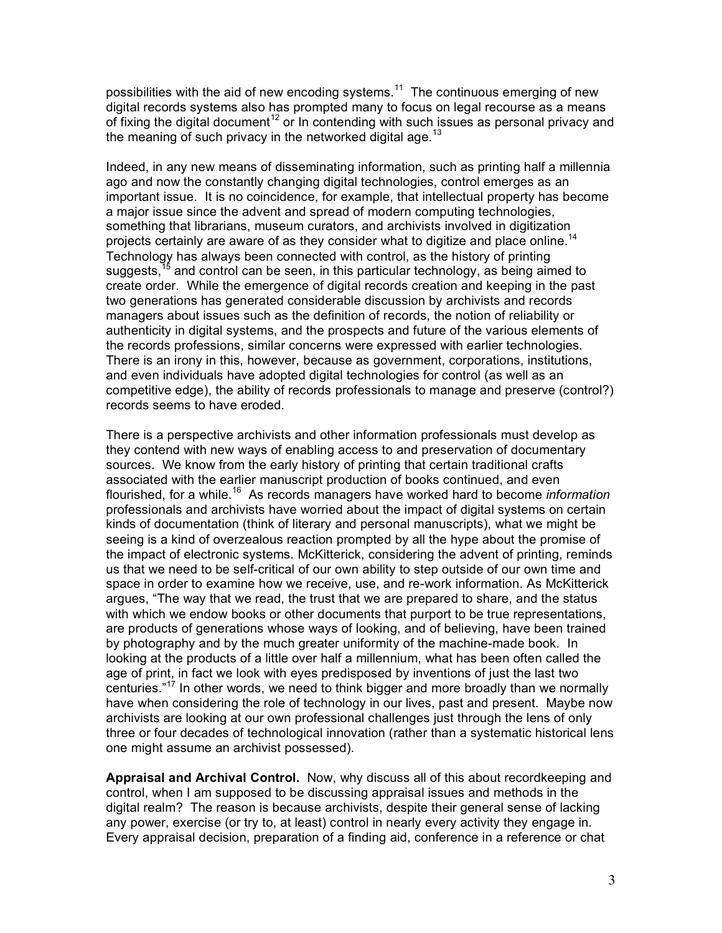possibilities with the aid of new encoding systems. $^{11}$  The continuous emerging of new digital records systems also has prompted many to focus on legal recourse as a means of fixing the digital document<sup>12</sup> or In contending with such issues as personal privacy and the meaning of such privacy in the networked digital age. $13$ 

Indeed, in any new means of disseminating information, such as printing half a millennia ago and now the constantly changing digital technologies, control emerges as an important issue. It is no coincidence, for example, that intellectual property has become a major issue since the advent and spread of modern computing technologies, something that librarians, museum curators, and archivists involved in digitization projects certainly are aware of as they consider what to digitize and place online.<sup>14</sup> Technology has always been connected with control, as the history of printing suggests,<sup>15</sup> and control can be seen, in this particular technology, as being aimed to create order. While the emergence of digital records creation and keeping in the past two generations has generated considerable discussion by archivists and records managers about issues such as the definition of records, the notion of reliability or authenticity in digital systems, and the prospects and future of the various elements of the records professions, similar concerns were expressed with earlier technologies. There is an irony in this, however, because as government, corporations, institutions, and even individuals have adopted digital technologies for control (as well as an competitive edge), the ability of records professionals to manage and preserve (control?) records seems to have eroded.

There is a perspective archivists and other information professionals must develop as they contend with new ways of enabling access to and preservation of documentary sources. We know from the early history of printing that certain traditional crafts associated with the earlier manuscript production of books continued, and even flourished, for a while.<sup>16</sup> As records managers have worked hard to become *information* professionals and archivists have worried about the impact of digital systems on certain kinds of documentation (think of literary and personal manuscripts), what we might be seeing is a kind of overzealous reaction prompted by all the hype about the promise of the impact of electronic systems. McKitterick, considering the advent of printing, reminds us that we need to be self-critical of our own ability to step outside of our own time and space in order to examine how we receive, use, and re-work information. As McKitterick argues, "The way that we read, the trust that we are prepared to share, and the status with which we endow books or other documents that purport to be true representations, are products of generations whose ways of looking, and of believing, have been trained by photography and by the much greater uniformity of the machine-made book. In looking at the products of a little over half a millennium, what has been often called the age of print, in fact we look with eyes predisposed by inventions of just the last two centuries."<sup>17</sup> In other words, we need to think bigger and more broadly than we normally have when considering the role of technology in our lives, past and present. Maybe now archivists are looking at our own professional challenges just through the lens of only three or four decades of technological innovation (rather than a systematic historical lens one might assume an archivist possessed).

**Appraisal and Archival Control.** Now, why discuss all of this about recordkeeping and control, when I am supposed to be discussing appraisal issues and methods in the digital realm? The reason is because archivists, despite their general sense of lacking any power, exercise (or try to, at least) control in nearly every activity they engage in. Every appraisal decision, preparation of a finding aid, conference in a reference or chat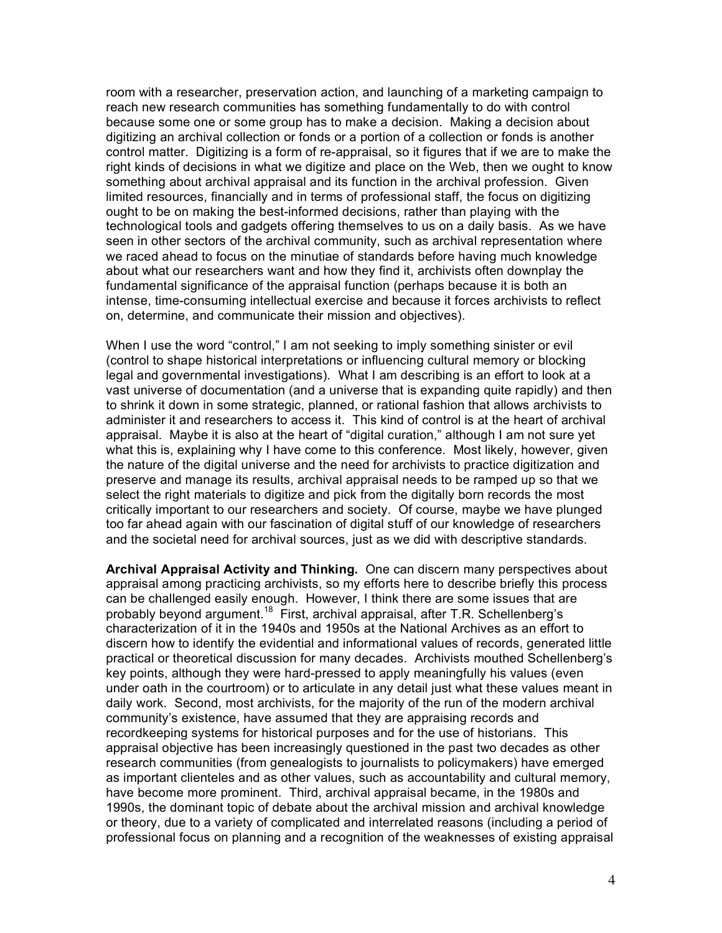room with a researcher, preservation action, and launching of a marketing campaign to reach new research communities has something fundamentally to do with control because some one or some group has to make a decision. Making a decision about digitizing an archival collection or fonds or a portion of a collection or fonds is another control matter. Digitizing is a form of re-appraisal, so it figures that if we are to make the right kinds of decisions in what we digitize and place on the Web, then we ought to know something about archival appraisal and its function in the archival profession. Given limited resources, financially and in terms of professional staff, the focus on digitizing ought to be on making the best-informed decisions, rather than playing with the technological tools and gadgets offering themselves to us on a daily basis. As we have seen in other sectors of the archival community, such as archival representation where we raced ahead to focus on the minutiae of standards before having much knowledge about what our researchers want and how they find it, archivists often downplay the fundamental significance of the appraisal function (perhaps because it is both an intense, time-consuming intellectual exercise and because it forces archivists to reflect on, determine, and communicate their mission and objectives).

When I use the word "control," I am not seeking to imply something sinister or evil (control to shape historical interpretations or influencing cultural memory or blocking legal and governmental investigations). What I am describing is an effort to look at a vast universe of documentation (and a universe that is expanding quite rapidly) and then to shrink it down in some strategic, planned, or rational fashion that allows archivists to administer it and researchers to access it. This kind of control is at the heart of archival appraisal. Maybe it is also at the heart of "digital curation," although I am not sure yet what this is, explaining why I have come to this conference. Most likely, however, given the nature of the digital universe and the need for archivists to practice digitization and preserve and manage its results, archival appraisal needs to be ramped up so that we select the right materials to digitize and pick from the digitally born records the most critically important to our researchers and society. Of course, maybe we have plunged too far ahead again with our fascination of digital stuff of our knowledge of researchers and the societal need for archival sources, just as we did with descriptive standards.

**Archival Appraisal Activity and Thinking.** One can discern many perspectives about appraisal among practicing archivists, so my efforts here to describe briefly this process can be challenged easily enough. However, I think there are some issues that are probably beyond argument.<sup>18</sup> First, archival appraisal, after T.R. Schellenberg's characterization of it in the 1940s and 1950s at the National Archives as an effort to discern how to identify the evidential and informational values of records, generated little practical or theoretical discussion for many decades. Archivists mouthed Schellenberg's key points, although they were hard-pressed to apply meaningfully his values (even under oath in the courtroom) or to articulate in any detail just what these values meant in daily work. Second, most archivists, for the majority of the run of the modern archival community's existence, have assumed that they are appraising records and recordkeeping systems for historical purposes and for the use of historians. This appraisal objective has been increasingly questioned in the past two decades as other research communities (from genealogists to journalists to policymakers) have emerged as important clienteles and as other values, such as accountability and cultural memory, have become more prominent. Third, archival appraisal became, in the 1980s and 1990s, the dominant topic of debate about the archival mission and archival knowledge or theory, due to a variety of complicated and interrelated reasons (including a period of professional focus on planning and a recognition of the weaknesses of existing appraisal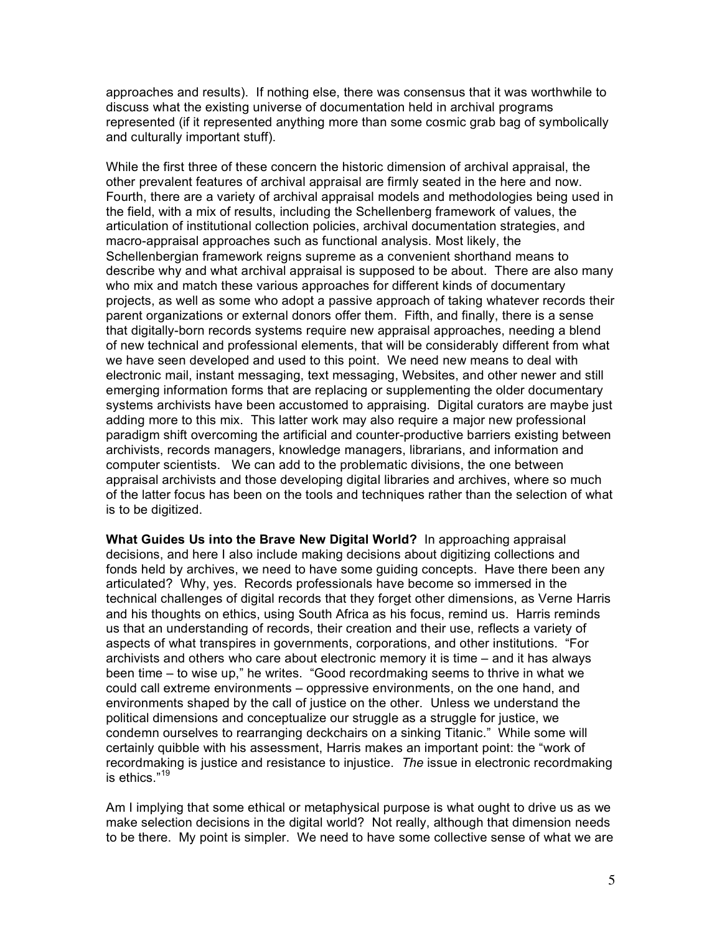approaches and results). If nothing else, there was consensus that it was worthwhile to discuss what the existing universe of documentation held in archival programs represented (if it represented anything more than some cosmic grab bag of symbolically and culturally important stuff).

While the first three of these concern the historic dimension of archival appraisal, the other prevalent features of archival appraisal are firmly seated in the here and now. Fourth, there are a variety of archival appraisal models and methodologies being used in the field, with a mix of results, including the Schellenberg framework of values, the articulation of institutional collection policies, archival documentation strategies, and macro-appraisal approaches such as functional analysis. Most likely, the Schellenbergian framework reigns supreme as a convenient shorthand means to describe why and what archival appraisal is supposed to be about. There are also many who mix and match these various approaches for different kinds of documentary projects, as well as some who adopt a passive approach of taking whatever records their parent organizations or external donors offer them. Fifth, and finally, there is a sense that digitally-born records systems require new appraisal approaches, needing a blend of new technical and professional elements, that will be considerably different from what we have seen developed and used to this point. We need new means to deal with electronic mail, instant messaging, text messaging, Websites, and other newer and still emerging information forms that are replacing or supplementing the older documentary systems archivists have been accustomed to appraising. Digital curators are maybe just adding more to this mix. This latter work may also require a major new professional paradigm shift overcoming the artificial and counter-productive barriers existing between archivists, records managers, knowledge managers, librarians, and information and computer scientists. We can add to the problematic divisions, the one between appraisal archivists and those developing digital libraries and archives, where so much of the latter focus has been on the tools and techniques rather than the selection of what is to be digitized.

**What Guides Us into the Brave New Digital World?** In approaching appraisal decisions, and here I also include making decisions about digitizing collections and fonds held by archives, we need to have some guiding concepts. Have there been any articulated? Why, yes. Records professionals have become so immersed in the technical challenges of digital records that they forget other dimensions, as Verne Harris and his thoughts on ethics, using South Africa as his focus, remind us. Harris reminds us that an understanding of records, their creation and their use, reflects a variety of aspects of what transpires in governments, corporations, and other institutions. "For archivists and others who care about electronic memory it is time – and it has always been time – to wise up," he writes. "Good recordmaking seems to thrive in what we could call extreme environments – oppressive environments, on the one hand, and environments shaped by the call of justice on the other. Unless we understand the political dimensions and conceptualize our struggle as a struggle for justice, we condemn ourselves to rearranging deckchairs on a sinking Titanic." While some will certainly quibble with his assessment, Harris makes an important point: the "work of recordmaking is justice and resistance to injustice. *The* issue in electronic recordmaking is ethics."<sup>19</sup>

Am I implying that some ethical or metaphysical purpose is what ought to drive us as we make selection decisions in the digital world? Not really, although that dimension needs to be there. My point is simpler. We need to have some collective sense of what we are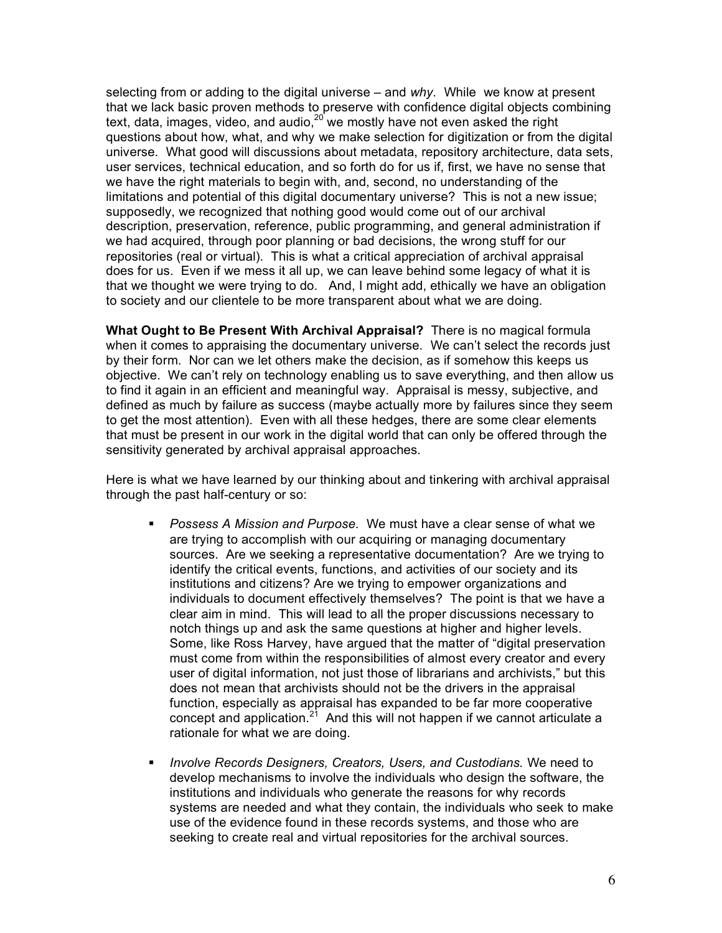selecting from or adding to the digital universe – and *why*. While we know at present that we lack basic proven methods to preserve with confidence digital objects combining text, data, images, video, and audio,  $20$  we mostly have not even asked the right questions about how, what, and why we make selection for digitization or from the digital universe. What good will discussions about metadata, repository architecture, data sets, user services, technical education, and so forth do for us if, first, we have no sense that we have the right materials to begin with, and, second, no understanding of the limitations and potential of this digital documentary universe? This is not a new issue; supposedly, we recognized that nothing good would come out of our archival description, preservation, reference, public programming, and general administration if we had acquired, through poor planning or bad decisions, the wrong stuff for our repositories (real or virtual). This is what a critical appreciation of archival appraisal does for us. Even if we mess it all up, we can leave behind some legacy of what it is that we thought we were trying to do. And, I might add, ethically we have an obligation to society and our clientele to be more transparent about what we are doing.

**What Ought to Be Present With Archival Appraisal?** There is no magical formula when it comes to appraising the documentary universe. We can't select the records just by their form. Nor can we let others make the decision, as if somehow this keeps us objective. We can't rely on technology enabling us to save everything, and then allow us to find it again in an efficient and meaningful way. Appraisal is messy, subjective, and defined as much by failure as success (maybe actually more by failures since they seem to get the most attention). Even with all these hedges, there are some clear elements that must be present in our work in the digital world that can only be offered through the sensitivity generated by archival appraisal approaches.

Here is what we have learned by our thinking about and tinkering with archival appraisal through the past half-century or so:

- *Possess A Mission and Purpose*. We must have a clear sense of what we are trying to accomplish with our acquiring or managing documentary sources. Are we seeking a representative documentation? Are we trying to identify the critical events, functions, and activities of our society and its institutions and citizens? Are we trying to empower organizations and individuals to document effectively themselves? The point is that we have a clear aim in mind. This will lead to all the proper discussions necessary to notch things up and ask the same questions at higher and higher levels. Some, like Ross Harvey, have argued that the matter of "digital preservation must come from within the responsibilities of almost every creator and every user of digital information, not just those of librarians and archivists," but this does not mean that archivists should not be the drivers in the appraisal function, especially as appraisal has expanded to be far more cooperative concept and application.<sup>21</sup> And this will not happen if we cannot articulate a rationale for what we are doing.
- *Involve Records Designers, Creators, Users, and Custodians.* We need to develop mechanisms to involve the individuals who design the software, the institutions and individuals who generate the reasons for why records systems are needed and what they contain, the individuals who seek to make use of the evidence found in these records systems, and those who are seeking to create real and virtual repositories for the archival sources.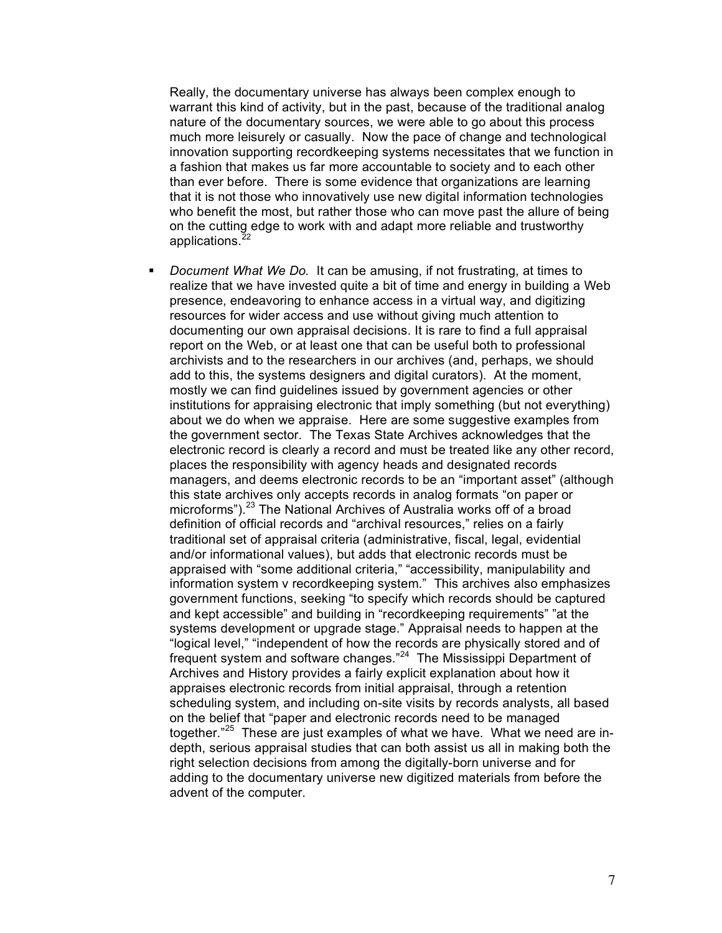Really, the documentary universe has always been complex enough to warrant this kind of activity, but in the past, because of the traditional analog nature of the documentary sources, we were able to go about this process much more leisurely or casually. Now the pace of change and technological innovation supporting recordkeeping systems necessitates that we function in a fashion that makes us far more accountable to society and to each other than ever before. There is some evidence that organizations are learning that it is not those who innovatively use new digital information technologies who benefit the most, but rather those who can move past the allure of being on the cutting edge to work with and adapt more reliable and trustworthy applications.<sup>22</sup>

 *Document What We Do.* It can be amusing, if not frustrating, at times to realize that we have invested quite a bit of time and energy in building a Web presence, endeavoring to enhance access in a virtual way, and digitizing resources for wider access and use without giving much attention to documenting our own appraisal decisions. It is rare to find a full appraisal report on the Web, or at least one that can be useful both to professional archivists and to the researchers in our archives (and, perhaps, we should add to this, the systems designers and digital curators). At the moment, mostly we can find guidelines issued by government agencies or other institutions for appraising electronic that imply something (but not everything) about we do when we appraise. Here are some suggestive examples from the government sector. The Texas State Archives acknowledges that the electronic record is clearly a record and must be treated like any other record, places the responsibility with agency heads and designated records managers, and deems electronic records to be an "important asset" (although this state archives only accepts records in analog formats "on paper or microforms").<sup>23</sup> The National Archives of Australia works off of a broad definition of official records and "archival resources," relies on a fairly traditional set of appraisal criteria (administrative, fiscal, legal, evidential and/or informational values), but adds that electronic records must be appraised with "some additional criteria," "accessibility, manipulability and information system v recordkeeping system." This archives also emphasizes government functions, seeking "to specify which records should be captured and kept accessible" and building in "recordkeeping requirements" "at the systems development or upgrade stage." Appraisal needs to happen at the "logical level," "independent of how the records are physically stored and of frequent system and software changes."<sup>24</sup> The Mississippi Department of Archives and History provides a fairly explicit explanation about how it appraises electronic records from initial appraisal, through a retention scheduling system, and including on-site visits by records analysts, all based on the belief that "paper and electronic records need to be managed together."<sup>25</sup> These are just examples of what we have. What we need are indepth, serious appraisal studies that can both assist us all in making both the right selection decisions from among the digitally-born universe and for adding to the documentary universe new digitized materials from before the advent of the computer.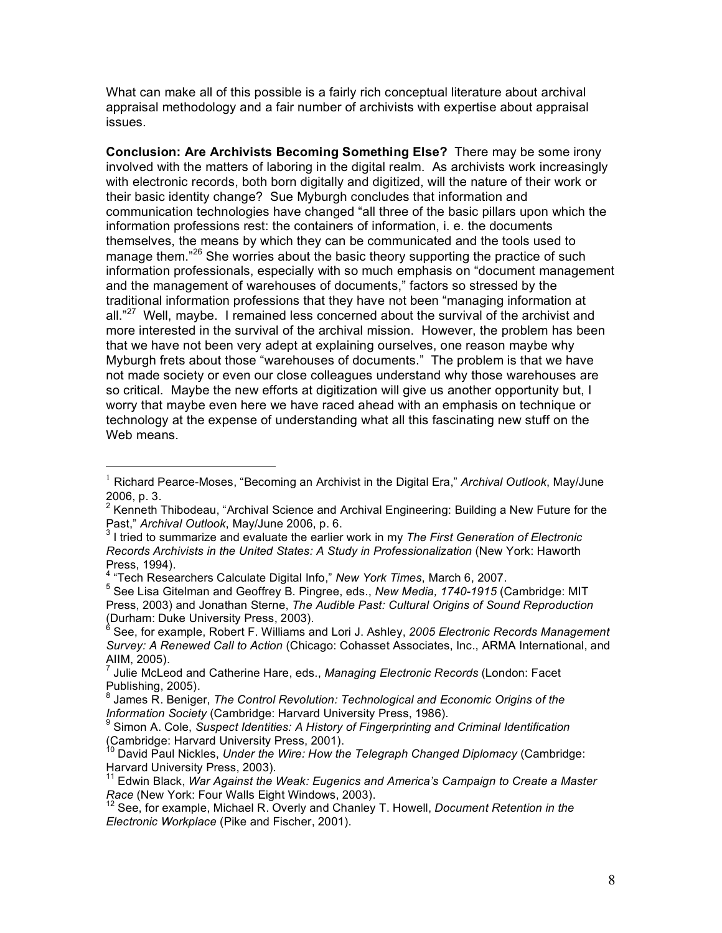What can make all of this possible is a fairly rich conceptual literature about archival appraisal methodology and a fair number of archivists with expertise about appraisal issues.

**Conclusion: Are Archivists Becoming Something Else?** There may be some irony involved with the matters of laboring in the digital realm. As archivists work increasingly with electronic records, both born digitally and digitized, will the nature of their work or their basic identity change? Sue Myburgh concludes that information and communication technologies have changed "all three of the basic pillars upon which the information professions rest: the containers of information, i. e. the documents themselves, the means by which they can be communicated and the tools used to manage them."<sup>26</sup> She worries about the basic theory supporting the practice of such information professionals, especially with so much emphasis on "document management and the management of warehouses of documents," factors so stressed by the traditional information professions that they have not been "managing information at all."<sup>27</sup> Well, maybe. I remained less concerned about the survival of the archivist and more interested in the survival of the archival mission. However, the problem has been that we have not been very adept at explaining ourselves, one reason maybe why Myburgh frets about those "warehouses of documents." The problem is that we have not made society or even our close colleagues understand why those warehouses are so critical. Maybe the new efforts at digitization will give us another opportunity but, I worry that maybe even here we have raced ahead with an emphasis on technique or technology at the expense of understanding what all this fascinating new stuff on the Web means.

 <sup>1</sup> Richard Pearce-Moses, "Becoming an Archivist in the Digital Era," *Archival Outlook*, May/June

<sup>2006,</sup> p. 3.<br><sup>2</sup> Kenneth Thibodeau, "Archival Science and Archival Engineering: Building a New Future for the Past," *Archival Outlook*, May/June 2006, p. 6. <sup>3</sup> <sup>I</sup> tried to summarize and evaluate the earlier work in my *The First Generation of Electronic*

*Records Archivists in the United States: A Study in Professionalization* (New York: Haworth Press, 1994).<br><sup>4</sup> "Tech Researchers Calculate Digital Info," *New York Times*, March 6, 2007.<br><sup>5</sup> See Lisa Gitelman and Geoffrey B. Pingree, eds., *New Media, 1740-1915* (Cambridge: MIT

Press, 2003) and Jonathan Sterne, *The Audible Past: Cultural Origins of Sound Reproduction*

<sup>(</sup>Durham: Duke University Press, 2003). <sup>6</sup> See, for example, Robert F. Williams and Lori J. Ashley, *<sup>2005</sup> Electronic Records Management Survey: A Renewed Call to Action* (Chicago: Cohasset Associates, Inc., ARMA International, and AIIM, 2005).<br><sup>7</sup> Julie McLeod and Catherine Hare, eds., *Managing Electronic Records* (London: Facet

Publishing, 2005).<br><sup>8</sup> James R. Beniger, *The Control Revolution: Technological and Economic Origins of the*<br>*Information Society* (Cambridge: Harvard University Press, 1986).

<sup>&</sup>lt;sup>9</sup> Simon A. Cole, *Suspect Identities: A History of Fingerprinting and Criminal Identification*<br>(Cambridge: Harvard University Press, 2001).

<sup>(</sup>Cambridge: Harvard University Press, 2001). <sup>10</sup> David Paul Nickles, *Under the Wire: How the Telegraph Changed Diplomacy* (Cambridge:

Harvard University Press, 2003).<br><sup>11</sup> Edwin Black, *War Against the Weak: Eugenics and America's Campaign to Create a Master*<br>*Race* (New York: Four Walls Eight Windows, 2003).

<sup>&</sup>lt;sup>12</sup> See, for example, Michael R. Overly and Chanley T. Howell, *Document Retention in the Electronic Workplace* (Pike and Fischer, 2001).